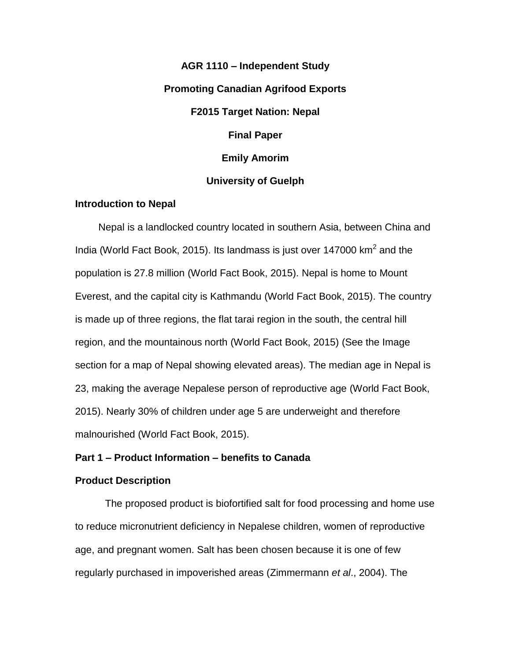**AGR 1110 – Independent Study Promoting Canadian Agrifood Exports F2015 Target Nation: Nepal Final Paper Emily Amorim University of Guelph**

## **Introduction to Nepal**

Nepal is a landlocked country located in southern Asia, between China and India (World Fact Book, 2015). Its landmass is just over 147000  $km^2$  and the population is 27.8 million (World Fact Book, 2015). Nepal is home to Mount Everest, and the capital city is Kathmandu (World Fact Book, 2015). The country is made up of three regions, the flat tarai region in the south, the central hill region, and the mountainous north (World Fact Book, 2015) (See the Image section for a map of Nepal showing elevated areas). The median age in Nepal is 23, making the average Nepalese person of reproductive age (World Fact Book, 2015). Nearly 30% of children under age 5 are underweight and therefore malnourished (World Fact Book, 2015).

## **Part 1 – Product Information – benefits to Canada**

## **Product Description**

The proposed product is biofortified salt for food processing and home use to reduce micronutrient deficiency in Nepalese children, women of reproductive age, and pregnant women. Salt has been chosen because it is one of few regularly purchased in impoverished areas (Zimmermann *et al*., 2004). The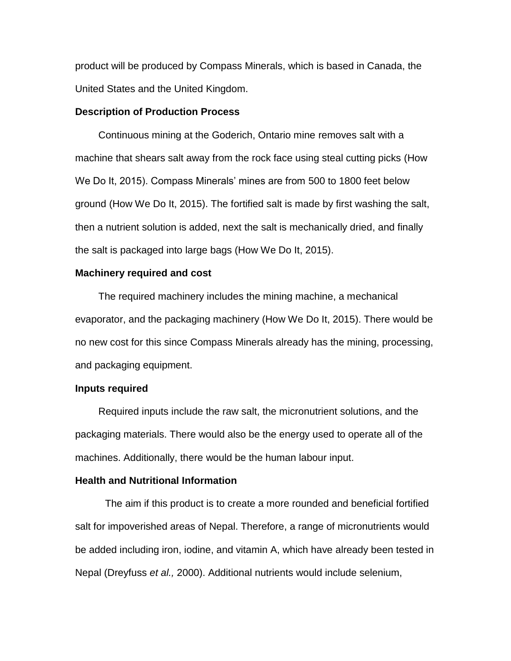product will be produced by Compass Minerals, which is based in Canada, the United States and the United Kingdom.

#### **Description of Production Process**

Continuous mining at the Goderich, Ontario mine removes salt with a machine that shears salt away from the rock face using steal cutting picks (How We Do It, 2015). Compass Minerals' mines are from 500 to 1800 feet below ground (How We Do It, 2015). The fortified salt is made by first washing the salt, then a nutrient solution is added, next the salt is mechanically dried, and finally the salt is packaged into large bags (How We Do It, 2015).

## **Machinery required and cost**

The required machinery includes the mining machine, a mechanical evaporator, and the packaging machinery (How We Do It, 2015). There would be no new cost for this since Compass Minerals already has the mining, processing, and packaging equipment.

## **Inputs required**

Required inputs include the raw salt, the micronutrient solutions, and the packaging materials. There would also be the energy used to operate all of the machines. Additionally, there would be the human labour input.

## **Health and Nutritional Information**

The aim if this product is to create a more rounded and beneficial fortified salt for impoverished areas of Nepal. Therefore, a range of micronutrients would be added including iron, iodine, and vitamin A, which have already been tested in Nepal (Dreyfuss *et al.,* 2000). Additional nutrients would include selenium,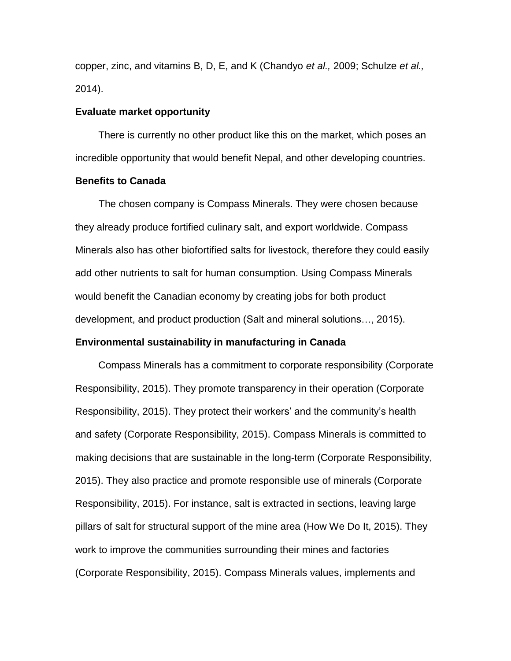copper, zinc, and vitamins B, D, E, and K (Chandyo *et al.,* 2009; Schulze *et al.,* 2014).

## **Evaluate market opportunity**

There is currently no other product like this on the market, which poses an incredible opportunity that would benefit Nepal, and other developing countries.

#### **Benefits to Canada**

The chosen company is Compass Minerals. They were chosen because they already produce fortified culinary salt, and export worldwide. Compass Minerals also has other biofortified salts for livestock, therefore they could easily add other nutrients to salt for human consumption. Using Compass Minerals would benefit the Canadian economy by creating jobs for both product development, and product production (Salt and mineral solutions…, 2015).

## **Environmental sustainability in manufacturing in Canada**

Compass Minerals has a commitment to corporate responsibility (Corporate Responsibility, 2015). They promote transparency in their operation (Corporate Responsibility, 2015). They protect their workers' and the community's health and safety (Corporate Responsibility, 2015). Compass Minerals is committed to making decisions that are sustainable in the long-term (Corporate Responsibility, 2015). They also practice and promote responsible use of minerals (Corporate Responsibility, 2015). For instance, salt is extracted in sections, leaving large pillars of salt for structural support of the mine area (How We Do It, 2015). They work to improve the communities surrounding their mines and factories (Corporate Responsibility, 2015). Compass Minerals values, implements and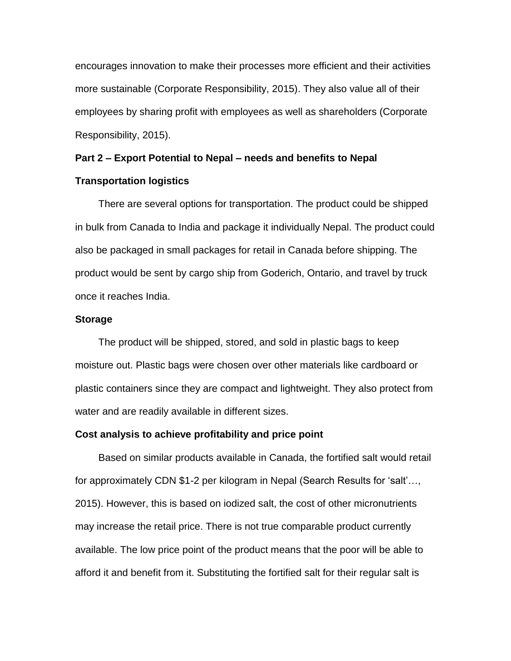encourages innovation to make their processes more efficient and their activities more sustainable (Corporate Responsibility, 2015). They also value all of their employees by sharing profit with employees as well as shareholders (Corporate Responsibility, 2015).

# **Part 2 – Export Potential to Nepal – needs and benefits to Nepal**

## **Transportation logistics**

There are several options for transportation. The product could be shipped in bulk from Canada to India and package it individually Nepal. The product could also be packaged in small packages for retail in Canada before shipping. The product would be sent by cargo ship from Goderich, Ontario, and travel by truck once it reaches India.

#### **Storage**

The product will be shipped, stored, and sold in plastic bags to keep moisture out. Plastic bags were chosen over other materials like cardboard or plastic containers since they are compact and lightweight. They also protect from water and are readily available in different sizes.

#### **Cost analysis to achieve profitability and price point**

Based on similar products available in Canada, the fortified salt would retail for approximately CDN \$1-2 per kilogram in Nepal (Search Results for 'salt'…, 2015). However, this is based on iodized salt, the cost of other micronutrients may increase the retail price. There is not true comparable product currently available. The low price point of the product means that the poor will be able to afford it and benefit from it. Substituting the fortified salt for their regular salt is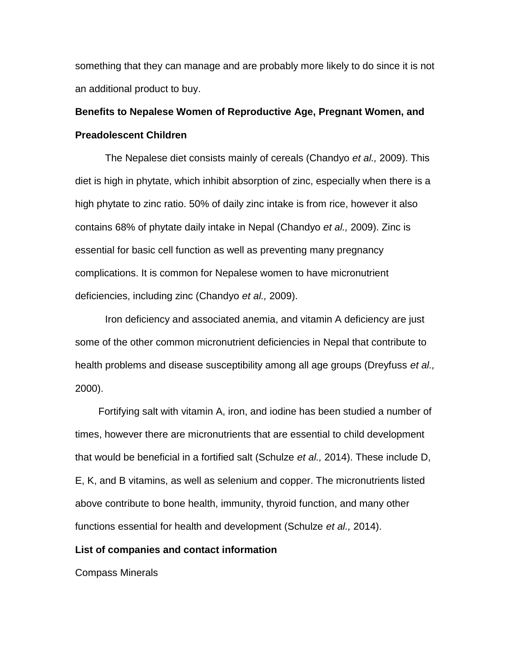something that they can manage and are probably more likely to do since it is not an additional product to buy.

## **Benefits to Nepalese Women of Reproductive Age, Pregnant Women, and Preadolescent Children**

The Nepalese diet consists mainly of cereals (Chandyo *et al.,* 2009). This diet is high in phytate, which inhibit absorption of zinc, especially when there is a high phytate to zinc ratio. 50% of daily zinc intake is from rice, however it also contains 68% of phytate daily intake in Nepal (Chandyo *et al.,* 2009). Zinc is essential for basic cell function as well as preventing many pregnancy complications. It is common for Nepalese women to have micronutrient deficiencies, including zinc (Chandyo *et al.,* 2009).

Iron deficiency and associated anemia, and vitamin A deficiency are just some of the other common micronutrient deficiencies in Nepal that contribute to health problems and disease susceptibility among all age groups (Dreyfuss *et al.,* 2000).

Fortifying salt with vitamin A, iron, and iodine has been studied a number of times, however there are micronutrients that are essential to child development that would be beneficial in a fortified salt (Schulze *et al.,* 2014). These include D, E, K, and B vitamins, as well as selenium and copper. The micronutrients listed above contribute to bone health, immunity, thyroid function, and many other functions essential for health and development (Schulze *et al.,* 2014).

### **List of companies and contact information**

Compass Minerals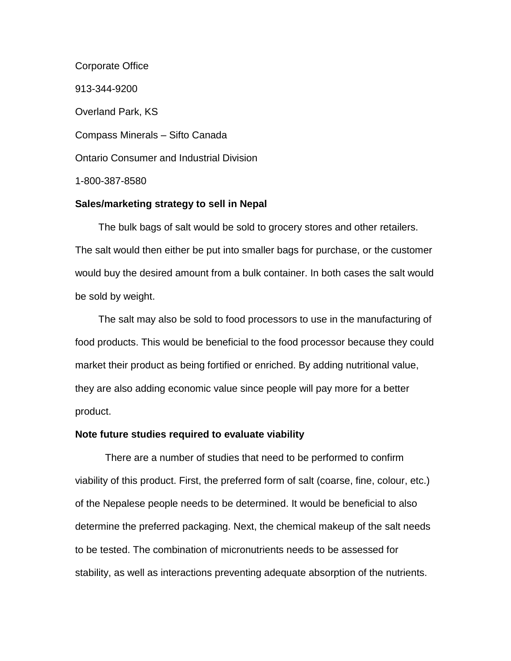Corporate Office 913-344-9200 Overland Park, KS Compass Minerals – Sifto Canada Ontario Consumer and Industrial Division 1-800-387-8580

## **Sales/marketing strategy to sell in Nepal**

The bulk bags of salt would be sold to grocery stores and other retailers. The salt would then either be put into smaller bags for purchase, or the customer would buy the desired amount from a bulk container. In both cases the salt would be sold by weight.

The salt may also be sold to food processors to use in the manufacturing of food products. This would be beneficial to the food processor because they could market their product as being fortified or enriched. By adding nutritional value, they are also adding economic value since people will pay more for a better product.

## **Note future studies required to evaluate viability**

There are a number of studies that need to be performed to confirm viability of this product. First, the preferred form of salt (coarse, fine, colour, etc.) of the Nepalese people needs to be determined. It would be beneficial to also determine the preferred packaging. Next, the chemical makeup of the salt needs to be tested. The combination of micronutrients needs to be assessed for stability, as well as interactions preventing adequate absorption of the nutrients.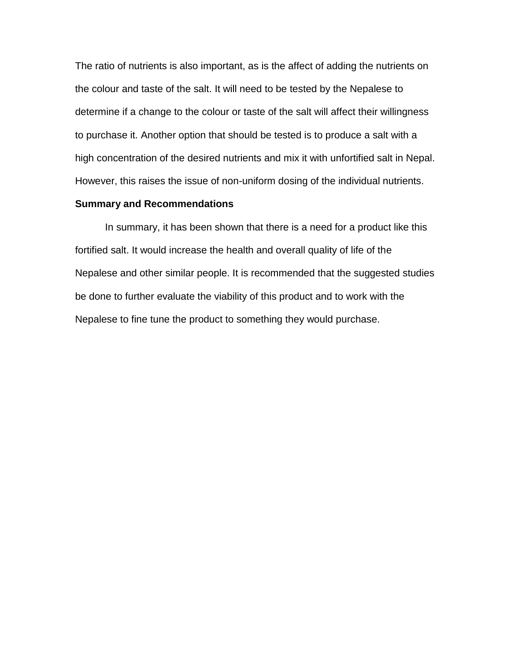The ratio of nutrients is also important, as is the affect of adding the nutrients on the colour and taste of the salt. It will need to be tested by the Nepalese to determine if a change to the colour or taste of the salt will affect their willingness to purchase it. Another option that should be tested is to produce a salt with a high concentration of the desired nutrients and mix it with unfortified salt in Nepal. However, this raises the issue of non-uniform dosing of the individual nutrients.

## **Summary and Recommendations**

In summary, it has been shown that there is a need for a product like this fortified salt. It would increase the health and overall quality of life of the Nepalese and other similar people. It is recommended that the suggested studies be done to further evaluate the viability of this product and to work with the Nepalese to fine tune the product to something they would purchase.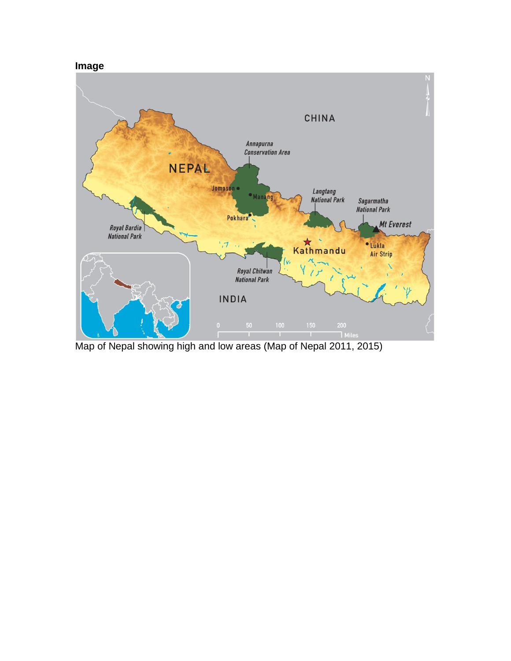## **Image**



Map of Nepal showing high and low areas (Map of Nepal 2011, 2015)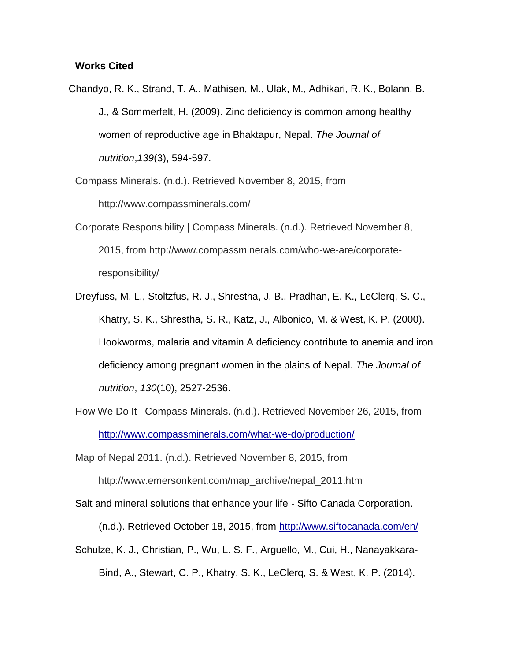## **Works Cited**

Chandyo, R. K., Strand, T. A., Mathisen, M., Ulak, M., Adhikari, R. K., Bolann, B. J., & Sommerfelt, H. (2009). Zinc deficiency is common among healthy women of reproductive age in Bhaktapur, Nepal. *The Journal of nutrition*,*139*(3), 594-597.

Compass Minerals. (n.d.). Retrieved November 8, 2015, from http://www.compassminerals.com/

- Corporate Responsibility | Compass Minerals. (n.d.). Retrieved November 8, 2015, from http://www.compassminerals.com/who-we-are/corporateresponsibility/
- Dreyfuss, M. L., Stoltzfus, R. J., Shrestha, J. B., Pradhan, E. K., LeClerq, S. C., Khatry, S. K., Shrestha, S. R., Katz, J., Albonico, M. & West, K. P. (2000). Hookworms, malaria and vitamin A deficiency contribute to anemia and iron deficiency among pregnant women in the plains of Nepal. *The Journal of nutrition*, *130*(10), 2527-2536.
- How We Do It | Compass Minerals. (n.d.). Retrieved November 26, 2015, from <http://www.compassminerals.com/what-we-do/production/>

Map of Nepal 2011. (n.d.). Retrieved November 8, 2015, from

http://www.emersonkent.com/map\_archive/nepal\_2011.htm

Salt and mineral solutions that enhance your life - Sifto Canada Corporation.

(n.d.). Retrieved October 18, 2015, from<http://www.siftocanada.com/en/>

Schulze, K. J., Christian, P., Wu, L. S. F., Arguello, M., Cui, H., Nanayakkara-Bind, A., Stewart, C. P., Khatry, S. K., LeClerq, S. & West, K. P. (2014).